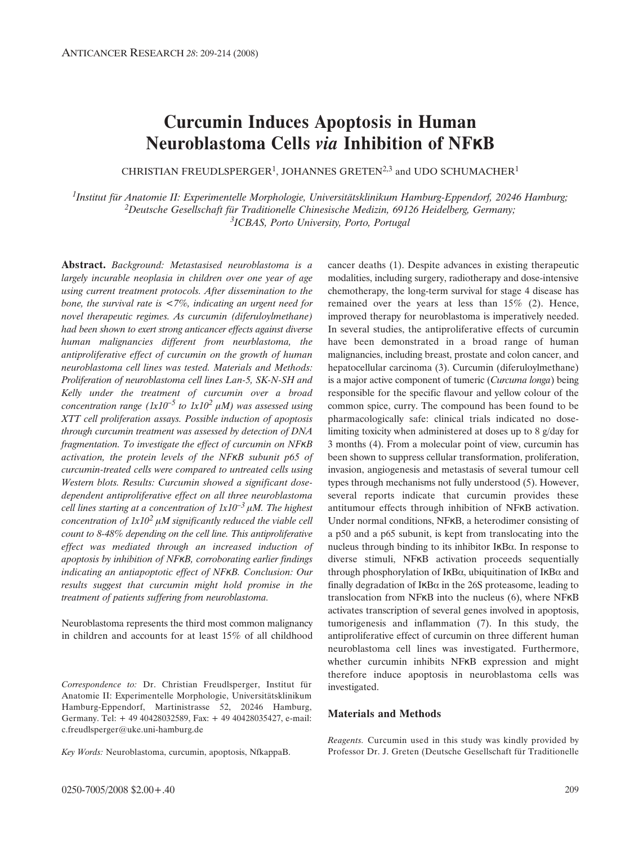# **Curcumin Induces Apoptosis in Human Neuroblastoma Cells** *via* **Inhibition of NFKB**

CHRISTIAN FREUDLSPERGER<sup>1</sup>, JOHANNES GRETEN<sup>2,3</sup> and UDO SCHUMACHER<sup>1</sup>

*1Institut für Anatomie II: Experimentelle Morphologie, Universitätsklinikum Hamburg-Eppendorf, 20246 Hamburg; 2Deutsche Gesellschaft für Traditionelle Chinesische Medizin, 69126 Heidelberg, Germany; 3ICBAS, Porto University, Porto, Portugal*

**Abstract.** *Background: Metastasised neuroblastoma is a largely incurable neoplasia in children over one year of age using current treatment protocols. After dissemination to the bone, the survival rate is <7%, indicating an urgent need for novel therapeutic regimes. As curcumin (diferuloylmethane) had been shown to exert strong anticancer effects against diverse human malignancies different from neurblastoma, the antiproliferative effect of curcumin on the growth of human neuroblastoma cell lines was tested. Materials and Methods: Proliferation of neuroblastoma cell lines Lan-5, SK-N-SH and Kelly under the treatment of curcumin over a broad concentration range*  $(lx10^{-5}$  *to*  $1x10^{2} \mu M$ *) was assessed using XTT cell proliferation assays. Possible induction of apoptosis through curcumin treatment was assessed by detection of DNA fragmentation. To investigate the effect of curcumin on NFKB activation, the protein levels of the NFÎB subunit p65 of curcumin-treated cells were compared to untreated cells using Western blots. Results: Curcumin showed a significant dosedependent antiproliferative effect on all three neuroblastoma cell lines starting at a concentration of*  $1x10^{-3}$  $\mu$ *M. The highest concentration of*  $1x10^2 \mu M$  *significantly reduced the viable cell count to 8-48% depending on the cell line. This antiproliferative effect was mediated through an increased induction of apoptosis by inhibition of NFÎB, corroborating earlier findings indicating an antiapoptotic effect of NFÎB. Conclusion: Our results suggest that curcumin might hold promise in the treatment of patients suffering from neuroblastoma.*

Neuroblastoma represents the third most common malignancy in children and accounts for at least 15% of all childhood

*Correspondence to:* Dr. Christian Freudlsperger, Institut für Anatomie II: Experimentelle Morphologie, Universitätsklinikum Hamburg-Eppendorf, Martinistrasse 52, 20246 Hamburg, Germany. Tel: + 49 40428032589, Fax: + 49 40428035427, e-mail: c.freudlsperger@uke.uni-hamburg.de

*Key Words:* Neuroblastoma, curcumin, apoptosis, NfkappaB.

cancer deaths (1). Despite advances in existing therapeutic modalities, including surgery, radiotherapy and dose-intensive chemotherapy, the long-term survival for stage 4 disease has remained over the years at less than 15% (2). Hence, improved therapy for neuroblastoma is imperatively needed. In several studies, the antiproliferative effects of curcumin have been demonstrated in a broad range of human malignancies, including breast, prostate and colon cancer, and hepatocellular carcinoma (3). Curcumin (diferuloylmethane) is a major active component of tumeric (*Curcuma longa*) being responsible for the specific flavour and yellow colour of the common spice, curry. The compound has been found to be pharmacologically safe: clinical trials indicated no doselimiting toxicity when administered at doses up to 8 g/day for 3 months (4). From a molecular point of view, curcumin has been shown to suppress cellular transformation, proliferation, invasion, angiogenesis and metastasis of several tumour cell types through mechanisms not fully understood (5). However, several reports indicate that curcumin provides these antitumour effects through inhibition of NFKB activation. Under normal conditions, NFKB, a heterodimer consisting of a p50 and a p65 subunit, is kept from translocating into the nucleus through binding to its inhibitor  $IKB\alpha$ . In response to diverse stimuli, NFKB activation proceeds sequentially through phosphorylation of IKB $\alpha$ , ubiquitination of IKB $\alpha$  and finally degradation of  $IKB\alpha$  in the 26S proteasome, leading to translocation from NF $KB$  into the nucleus (6), where NF $KB$ activates transcription of several genes involved in apoptosis, tumorigenesis and inflammation (7). In this study, the antiproliferative effect of curcumin on three different human neuroblastoma cell lines was investigated. Furthermore, whether curcumin inhibits NFKB expression and might therefore induce apoptosis in neuroblastoma cells was investigated.

# **Materials and Methods**

*Reagents.* Curcumin used in this study was kindly provided by Professor Dr. J. Greten (Deutsche Gesellschaft für Traditionelle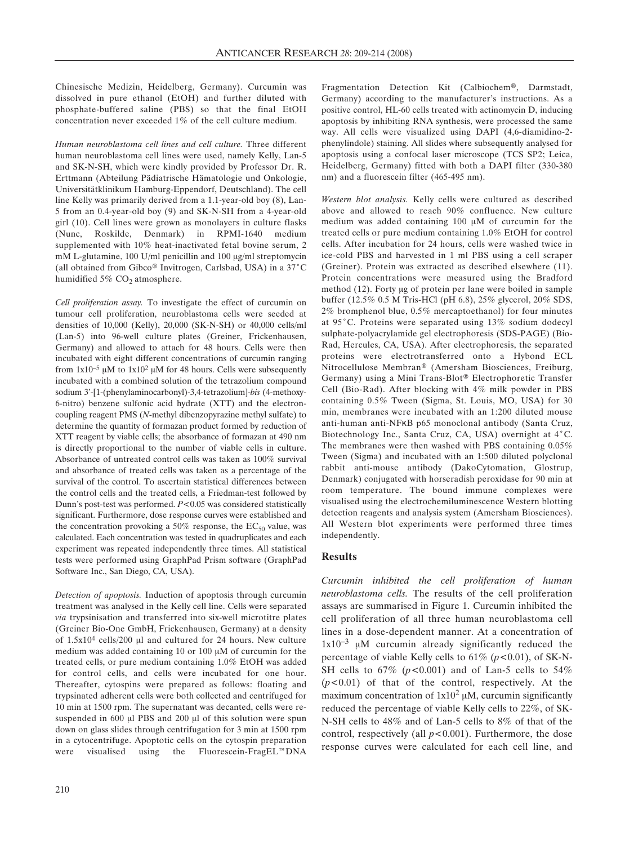Chinesische Medizin, Heidelberg, Germany). Curcumin was dissolved in pure ethanol (EtOH) and further diluted with phosphate-buffered saline (PBS) so that the final EtOH concentration never exceeded 1% of the cell culture medium.

*Human neuroblastoma cell lines and cell culture.* Three different human neuroblastoma cell lines were used, namely Kelly, Lan-5 and SK-N-SH, which were kindly provided by Professor Dr. R. Erttmann (Abteilung Pädiatrische Hämatologie und Onkologie, Universitätklinikum Hamburg-Eppendorf, Deutschland). The cell line Kelly was primarily derived from a 1.1-year-old boy (8), Lan-5 from an 0.4-year-old boy (9) and SK-N-SH from a 4-year-old girl (10). Cell lines were grown as monolayers in culture flasks (Nunc, Roskilde, Denmark) in RPMI-1640 medium supplemented with 10% heat-inactivated fetal bovine serum, 2 mM L-glutamine,  $100 \text{ U/ml}$  penicillin and  $100 \text{ µg/ml}$  streptomycin (all obtained from Gibco<sup>®</sup> Invitrogen, Carlsbad, USA) in a  $37^{\circ}$ C humidified  $5\%$  CO<sub>2</sub> atmosphere.

*Cell proliferation assay.* To investigate the effect of curcumin on tumour cell proliferation, neuroblastoma cells were seeded at densities of 10,000 (Kelly), 20,000 (SK-N-SH) or 40,000 cells/ml (Lan-5) into 96-well culture plates (Greiner, Frickenhausen, Germany) and allowed to attach for 48 hours. Cells were then incubated with eight different concentrations of curcumin ranging from  $1x10^{-5} \mu M$  to  $1x10^2 \mu M$  for 48 hours. Cells were subsequently incubated with a combined solution of the tetrazolium compound sodium 3'-[1-(phenylaminocarbonyl)-3,4-tetrazolium]-*bis* (4-methoxy-6-nitro) benzene sulfonic acid hydrate (XTT) and the electroncoupling reagent PMS (*N*-methyl dibenzopyrazine methyl sulfate) to determine the quantity of formazan product formed by reduction of XTT reagent by viable cells; the absorbance of formazan at 490 nm is directly proportional to the number of viable cells in culture. Absorbance of untreated control cells was taken as 100% survival and absorbance of treated cells was taken as a percentage of the survival of the control. To ascertain statistical differences between the control cells and the treated cells, a Friedman-test followed by Dunn's post-test was performed. *P*<0.05 was considered statistically significant. Furthermore, dose response curves were established and the concentration provoking a 50% response, the  $EC_{50}$  value, was calculated. Each concentration was tested in quadruplicates and each experiment was repeated independently three times. All statistical tests were performed using GraphPad Prism software (GraphPad Software Inc., San Diego, CA, USA).

*Detection of apoptosis.* Induction of apoptosis through curcumin treatment was analysed in the Kelly cell line. Cells were separated *via* trypsinisation and transferred into six-well microtitre plates (Greiner Bio-One GmbH, Frickenhausen, Germany) at a density of  $1.5x10^4$  cells/200 µl and cultured for 24 hours. New culture medium was added containing 10 or 100  $\mu$ M of curcumin for the treated cells, or pure medium containing 1.0% EtOH was added for control cells, and cells were incubated for one hour. Thereafter, cytospins were prepared as follows: floating and trypsinated adherent cells were both collected and centrifuged for 10 min at 1500 rpm. The supernatant was decanted, cells were resuspended in 600  $\mu$ l PBS and 200  $\mu$ l of this solution were spun down on glass slides through centrifugation for 3 min at 1500 rpm in a cytocentrifuge. Apoptotic cells on the cytospin preparation were visualised using the Fluorescein-FragEL $^{m}$ DNA Fragmentation Detection Kit (Calbiochem®, Darmstadt, Germany) according to the manufacturer's instructions. As a positive control, HL-60 cells treated with actinomycin D, inducing apoptosis by inhibiting RNA synthesis, were processed the same way. All cells were visualized using DAPI (4,6-diamidino-2 phenylindole) staining. All slides where subsequently analysed for apoptosis using a confocal laser microscope (TCS SP2; Leica, Heidelberg, Germany) fitted with both a DAPI filter (330-380 nm) and a fluorescein filter (465-495 nm).

*Western blot analysis.* Kelly cells were cultured as described above and allowed to reach 90% confluence. New culture medium was added containing  $100 \mu M$  of curcumin for the treated cells or pure medium containing 1.0% EtOH for control cells. After incubation for 24 hours, cells were washed twice in ice-cold PBS and harvested in 1 ml PBS using a cell scraper (Greiner). Protein was extracted as described elsewhere (11). Protein concentrations were measured using the Bradford method (12). Forty µg of protein per lane were boiled in sample buffer (12.5% 0.5 M Tris-HCl (pH 6.8), 25% glycerol, 20% SDS, 2% bromphenol blue, 0.5% mercaptoethanol) for four minutes at 95°C. Proteins were separated using 13% sodium dodecyl sulphate-polyacrylamide gel electrophoresis (SDS-PAGE) (Bio-Rad, Hercules, CA, USA). After electrophoresis, the separated proteins were electrotransferred onto a Hybond ECL Nitrocellulose Membran® (Amersham Biosciences, Freiburg, Germany) using a Mini Trans-Blot® Electrophoretic Transfer Cell (Bio-Rad). After blocking with 4% milk powder in PBS containing 0.5% Tween (Sigma, St. Louis, MO, USA) for 30 min, membranes were incubated with an 1:200 diluted mouse anti-human anti-NFKB p65 monoclonal antibody (Santa Cruz, Biotechnology Inc., Santa Cruz, CA, USA) overnight at 4°C. The membranes were then washed with PBS containing 0.05% Tween (Sigma) and incubated with an 1:500 diluted polyclonal rabbit anti-mouse antibody (DakoCytomation, Glostrup, Denmark) conjugated with horseradish peroxidase for 90 min at room temperature. The bound immune complexes were visualised using the electrochemiluminescence Western blotting detection reagents and analysis system (Amersham Biosciences). All Western blot experiments were performed three times independently.

#### **Results**

*Curcumin inhibited the cell proliferation of human neuroblastoma cells.* The results of the cell proliferation assays are summarised in Figure 1. Curcumin inhibited the cell proliferation of all three human neuroblastoma cell lines in a dose-dependent manner. At a concentration of  $1x10^{-3}$  µM curcumin already significantly reduced the percentage of viable Kelly cells to 61% (*p<*0.01), of SK-N-SH cells to  $67\%$  ( $p < 0.001$ ) and of Lan-5 cells to  $54\%$ (*p<*0.01) of that of the control, respectively. At the maximum concentration of  $1x10^2 \mu M$ , curcumin significantly reduced the percentage of viable Kelly cells to 22%, of SK-N-SH cells to 48% and of Lan-5 cells to 8% of that of the control, respectively (all *p<*0.001). Furthermore, the dose response curves were calculated for each cell line, and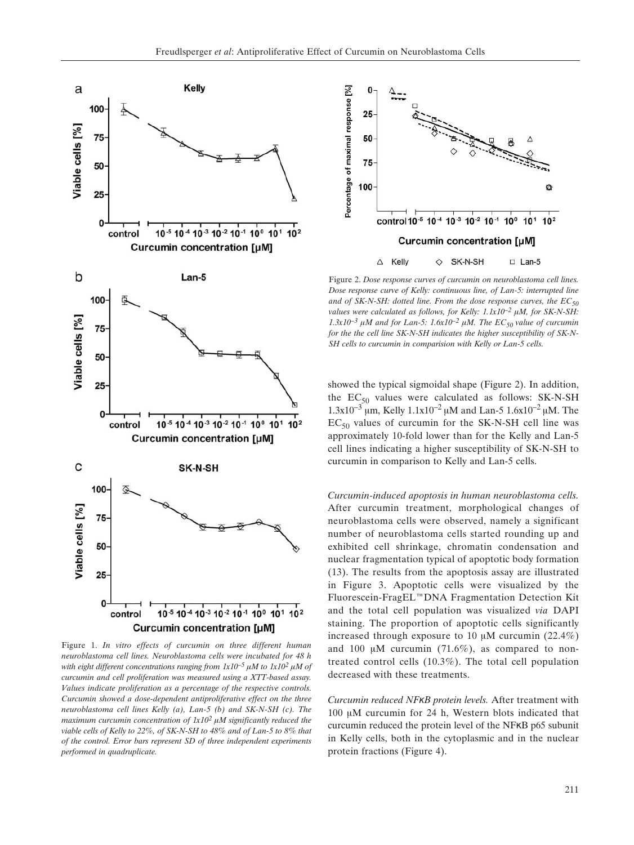

Figure 1. *In vitro effects of curcumin on three different human neuroblastoma cell lines. Neuroblastoma cells were incubated for 48 h with eight different concentrations ranging from*  $1x10^{-5} \mu M$  *to*  $1x10^2 \mu M$  *of curcumin and cell proliferation was measured using a XTT-based assay. Values indicate proliferation as a percentage of the respective controls. Curcumin showed a dose-dependent antiproliferative effect on the three neuroblastoma cell lines Kelly (a), Lan-5 (b) and SK-N-SH (c). The maximum curcumin concentration of*  $1x10^2 \mu M$  *significantly reduced the viable cells of Kelly to 22%, of SK-N-SH to 48% and of Lan-5 to 8% that of the control. Error bars represent SD of three independent experiments performed in quadruplicate.*



Figure 2. *Dose response curves of curcumin on neuroblastoma cell lines. Dose response curve of Kelly: continuous line, of Lan-5: interrupted line* and of SK-N-SH: dotted line. From the dose response curves, the  $EC_{50}$ *values were calculated as follows, for Kelly:*  $1.1x10^{-2} \mu M$ *, for SK-N-SH:*  $1.3x10^{-3}$   $\mu$ M and for Lan-5:  $1.6x10^{-2}$   $\mu$ M. The EC<sub>50</sub> value of curcumin *for the the cell line SK-N-SH indicates the higher susceptibility of SK-N-SH cells to curcumin in comparision with Kelly or Lan-5 cells.*

showed the typical sigmoidal shape (Figure 2). In addition, the  $EC_{50}$  values were calculated as follows: SK-N-SH  $1.3x10^{-3}$  µm, Kelly  $1.1x10^{-2}$  µM and Lan-5  $1.6x10^{-2}$  µM. The  $EC_{50}$  values of curcumin for the SK-N-SH cell line was approximately 10-fold lower than for the Kelly and Lan-5 cell lines indicating a higher susceptibility of SK-N-SH to curcumin in comparison to Kelly and Lan-5 cells.

*Curcumin-induced apoptosis in human neuroblastoma cells.* After curcumin treatment, morphological changes of neuroblastoma cells were observed, namely a significant number of neuroblastoma cells started rounding up and exhibited cell shrinkage, chromatin condensation and nuclear fragmentation typical of apoptotic body formation (13). The results from the apoptosis assay are illustrated in Figure 3. Apoptotic cells were visualized by the Fluorescein-FragEL™DNA Fragmentation Detection Kit and the total cell population was visualized *via* DAPI staining. The proportion of apoptotic cells significantly increased through exposure to 10  $\mu$ M curcumin (22.4%) and 100  $\mu$ M curcumin (71.6%), as compared to nontreated control cells (10.3%). The total cell population decreased with these treatments.

*Curcumin reduced NFÎB protein levels.* After treatment with 100  $\mu$ M curcumin for 24 h, Western blots indicated that curcumin reduced the protein level of the NFKB p65 subunit in Kelly cells, both in the cytoplasmic and in the nuclear protein fractions (Figure 4).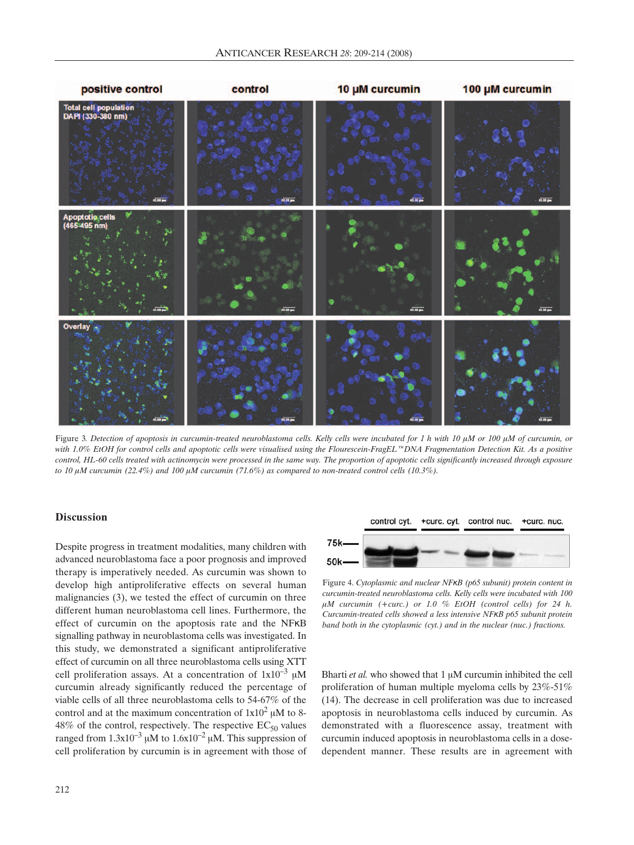

Figure 3. Detection of apoptosis in curcumin-treated neuroblastoma cells. Kelly cells were incubated for 1 h with 10  $\mu$ M or 100  $\mu$ M of curcumin, or with 1.0% EtOH for control cells and apoptotic cells were visualised using the Flourescein-FragEL<sup>™</sup>DNA Fragmentation Detection Kit. As a positive *control, HL-60 cells treated with actinomycin were processed in the same way. The proportion of apoptotic cells significantly increased through exposure* to 10  $\mu$ M curcumin (22.4%) and 100  $\mu$ M curcumin (71.6%) as compared to non-treated control cells (10.3%).

# **Discussion**

Despite progress in treatment modalities, many children with advanced neuroblastoma face a poor prognosis and improved therapy is imperatively needed. As curcumin was shown to develop high antiproliferative effects on several human malignancies (3), we tested the effect of curcumin on three different human neuroblastoma cell lines. Furthermore, the effect of curcumin on the apoptosis rate and the NFKB signalling pathway in neuroblastoma cells was investigated. In this study, we demonstrated a significant antiproliferative effect of curcumin on all three neuroblastoma cells using XTT cell proliferation assays. At a concentration of  $1x10^{-3} \mu M$ curcumin already significantly reduced the percentage of viable cells of all three neuroblastoma cells to 54-67% of the control and at the maximum concentration of  $1x10^2 \mu M$  to 8-48% of the control, respectively. The respective  $EC_{50}$  values ranged from  $1.3x10^{-3}$  µM to  $1.6x10^{-2}$  µM. This suppression of cell proliferation by curcumin is in agreement with those of



Figure 4. *Cytoplasmic and nuclear NFÎB (p65 subunit) protein content in curcumin-treated neuroblastoma cells. Kelly cells were incubated with 100 ÌM curcumin (+curc.) or 1.0 % EtOH (control cells) for 24 h. Curcumin-treated cells showed a less intensive NFÎB p65 subunit protein band both in the cytoplasmic (cyt.) and in the nuclear (nuc.) fractions.*

Bharti  $et$  al. who showed that  $1 \mu M$  curcumin inhibited the cell proliferation of human multiple myeloma cells by 23%-51% (14). The decrease in cell proliferation was due to increased apoptosis in neuroblastoma cells induced by curcumin. As demonstrated with a fluorescence assay, treatment with curcumin induced apoptosis in neuroblastoma cells in a dosedependent manner. These results are in agreement with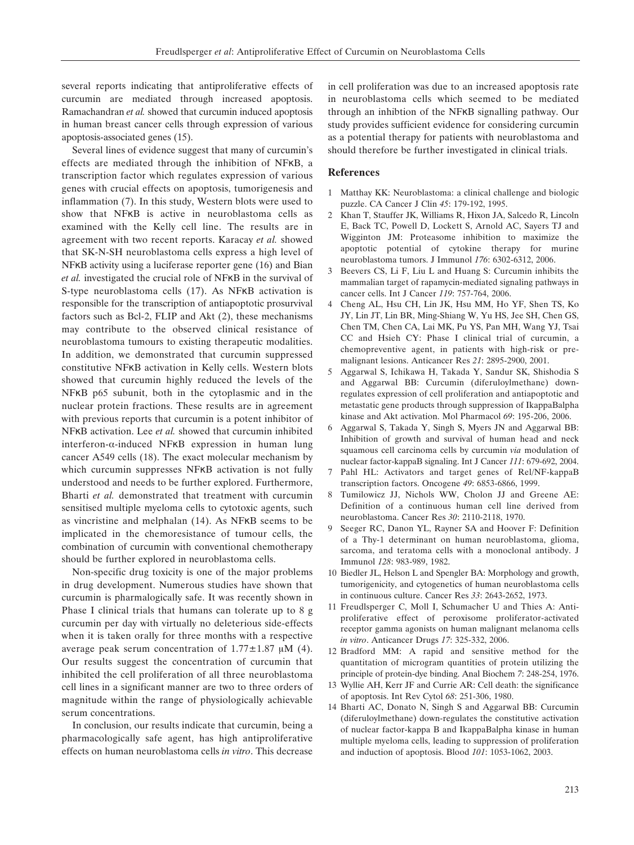several reports indicating that antiproliferative effects of curcumin are mediated through increased apoptosis. Ramachandran *et al.* showed that curcumin induced apoptosis in human breast cancer cells through expression of various apoptosis-associated genes (15).

Several lines of evidence suggest that many of curcumin's effects are mediated through the inhibition of NFKB, a transcription factor which regulates expression of various genes with crucial effects on apoptosis, tumorigenesis and inflammation (7). In this study, Western blots were used to show that NFKB is active in neuroblastoma cells as examined with the Kelly cell line. The results are in agreement with two recent reports. Karacay *et al.* showed that SK-N-SH neuroblastoma cells express a high level of NFKB activity using a luciferase reporter gene (16) and Bian *et al.* investigated the crucial role of NFKB in the survival of S-type neuroblastoma cells (17). As NFKB activation is responsible for the transcription of antiapoptotic prosurvival factors such as Bcl-2, FLIP and Akt (2), these mechanisms may contribute to the observed clinical resistance of neuroblastoma tumours to existing therapeutic modalities. In addition, we demonstrated that curcumin suppressed constitutive NFKB activation in Kelly cells. Western blots showed that curcumin highly reduced the levels of the NFKB p65 subunit, both in the cytoplasmic and in the nuclear protein fractions. These results are in agreement with previous reports that curcumin is a potent inhibitor of NFKB activation. Lee *et al.* showed that curcumin inhibited interferon- $\alpha$ -induced NFKB expression in human lung cancer A549 cells (18). The exact molecular mechanism by which curcumin suppresses NFKB activation is not fully understood and needs to be further explored. Furthermore, Bharti *et al.* demonstrated that treatment with curcumin sensitised multiple myeloma cells to cytotoxic agents, such as vincristine and melphalan  $(14)$ . As NFKB seems to be implicated in the chemoresistance of tumour cells, the combination of curcumin with conventional chemotherapy should be further explored in neuroblastoma cells.

Non-specific drug toxicity is one of the major problems in drug development. Numerous studies have shown that curcumin is pharmalogically safe. It was recently shown in Phase I clinical trials that humans can tolerate up to 8 g curcumin per day with virtually no deleterious side-effects when it is taken orally for three months with a respective average peak serum concentration of  $1.77 \pm 1.87$  µM (4). Our results suggest the concentration of curcumin that inhibited the cell proliferation of all three neuroblastoma cell lines in a significant manner are two to three orders of magnitude within the range of physiologically achievable serum concentrations.

In conclusion, our results indicate that curcumin, being a pharmacologically safe agent, has high antiproliferative effects on human neuroblastoma cells *in vitro*. This decrease

in cell proliferation was due to an increased apoptosis rate in neuroblastoma cells which seemed to be mediated through an inhibtion of the NFKB signalling pathway. Our study provides sufficient evidence for considering curcumin as a potential therapy for patients with neuroblastoma and should therefore be further investigated in clinical trials.

# **References**

- 1 Matthay KK: Neuroblastoma: a clinical challenge and biologic puzzle. CA Cancer J Clin *45*: 179-192, 1995.
- 2 Khan T, Stauffer JK, Williams R, Hixon JA, Salcedo R, Lincoln E, Back TC, Powell D, Lockett S, Arnold AC, Sayers TJ and Wigginton JM: Proteasome inhibition to maximize the apoptotic potential of cytokine therapy for murine neuroblastoma tumors. J Immunol *176*: 6302-6312, 2006.
- 3 Beevers CS, Li F, Liu L and Huang S: Curcumin inhibits the mammalian target of rapamycin-mediated signaling pathways in cancer cells. Int J Cancer *119*: 757-764, 2006.
- 4 Cheng AL, Hsu CH, Lin JK, Hsu MM, Ho YF, Shen TS, Ko JY, Lin JT, Lin BR, Ming-Shiang W, Yu HS, Jee SH, Chen GS, Chen TM, Chen CA, Lai MK, Pu YS, Pan MH, Wang YJ, Tsai CC and Hsieh CY: Phase I clinical trial of curcumin, a chemopreventive agent, in patients with high-risk or premalignant lesions. Anticancer Res *21*: 2895-2900, 2001.
- 5 Aggarwal S, Ichikawa H, Takada Y, Sandur SK, Shishodia S and Aggarwal BB: Curcumin (diferuloylmethane) downregulates expression of cell proliferation and antiapoptotic and metastatic gene products through suppression of IkappaBalpha kinase and Akt activation. Mol Pharmacol *69*: 195-206, 2006.
- 6 Aggarwal S, Takada Y, Singh S, Myers JN and Aggarwal BB: Inhibition of growth and survival of human head and neck squamous cell carcinoma cells by curcumin *via* modulation of nuclear factor-kappaB signaling. Int J Cancer *111*: 679-692, 2004.
- 7 Pahl HL: Activators and target genes of Rel/NF-kappaB transcription factors. Oncogene *49*: 6853-6866, 1999.
- 8 Tumilowicz JJ, Nichols WW, Cholon JJ and Greene AE: Definition of a continuous human cell line derived from neuroblastoma. Cancer Res *30*: 2110-2118, 1970.
- 9 Seeger RC, Danon YL, Rayner SA and Hoover F: Definition of a Thy-1 determinant on human neuroblastoma, glioma, sarcoma, and teratoma cells with a monoclonal antibody. J Immunol *128*: 983-989, 1982.
- 10 Biedler JL, Helson L and Spengler BA: Morphology and growth, tumorigenicity, and cytogenetics of human neuroblastoma cells in continuous culture. Cancer Res *33*: 2643-2652, 1973.
- 11 Freudlsperger C, Moll I, Schumacher U and Thies A: Antiproliferative effect of peroxisome proliferator-activated receptor gamma agonists on human malignant melanoma cells *in vitro*. Anticancer Drugs *17*: 325-332, 2006.
- 12 Bradford MM: A rapid and sensitive method for the quantitation of microgram quantities of protein utilizing the principle of protein-dye binding. Anal Biochem *7*: 248-254, 1976.
- 13 Wyllie AH, Kerr JF and Currie AR: Cell death: the significance of apoptosis. Int Rev Cytol *68*: 251-306, 1980.
- 14 Bharti AC, Donato N, Singh S and Aggarwal BB: Curcumin (diferuloylmethane) down-regulates the constitutive activation of nuclear factor-kappa B and IkappaBalpha kinase in human multiple myeloma cells, leading to suppression of proliferation and induction of apoptosis. Blood *101*: 1053-1062, 2003.